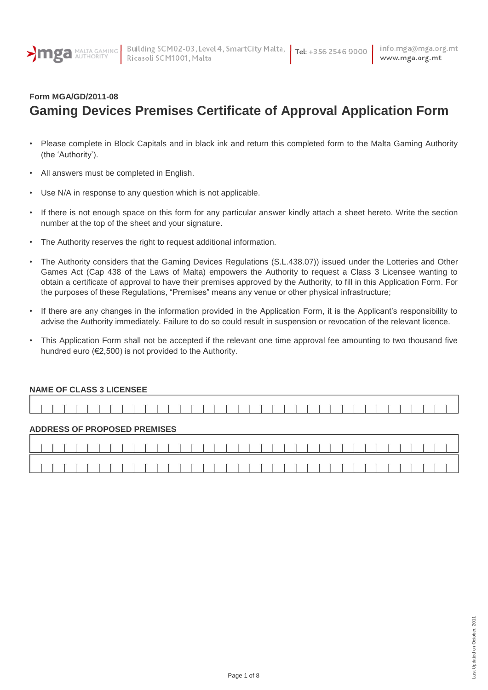

## **Form MGA/GD/2011-08 Gaming Devices Premises Certificate of Approval Application Form**

- Please complete in Block Capitals and in black ink and return this completed form to the Malta Gaming Authority (the "Authority").
- All answers must be completed in English.
- Use N/A in response to any question which is not applicable.
- If there is not enough space on this form for any particular answer kindly attach a sheet hereto. Write the section number at the top of the sheet and your signature.
- The Authority reserves the right to request additional information.
- The Authority considers that the Gaming Devices Regulations (S.L.438.07)) issued under the Lotteries and Other Games Act (Cap 438 of the Laws of Malta) empowers the Authority to request a Class 3 Licensee wanting to obtain a certificate of approval to have their premises approved by the Authority, to fill in this Application Form. For the purposes of these Regulations, "Premises" means any venue or other physical infrastructure;
- If there are any changes in the information provided in the Application Form, it is the Applicant"s responsibility to advise the Authority immediately. Failure to do so could result in suspension or revocation of the relevant licence.
- This Application Form shall not be accepted if the relevant one time approval fee amounting to two thousand five hundred euro (€2,500) is not provided to the Authority.

| <b>NAME OF CLASS 3 LICENSEE</b> |  |  |  |  |  |  |  |  |  |                                     |  |  |  |  |  |  |  |  |  |  |  |  |  |
|---------------------------------|--|--|--|--|--|--|--|--|--|-------------------------------------|--|--|--|--|--|--|--|--|--|--|--|--|--|
|                                 |  |  |  |  |  |  |  |  |  |                                     |  |  |  |  |  |  |  |  |  |  |  |  |  |
|                                 |  |  |  |  |  |  |  |  |  |                                     |  |  |  |  |  |  |  |  |  |  |  |  |  |
|                                 |  |  |  |  |  |  |  |  |  | <b>ADDRESS OF PROPOSED PREMISES</b> |  |  |  |  |  |  |  |  |  |  |  |  |  |
|                                 |  |  |  |  |  |  |  |  |  |                                     |  |  |  |  |  |  |  |  |  |  |  |  |  |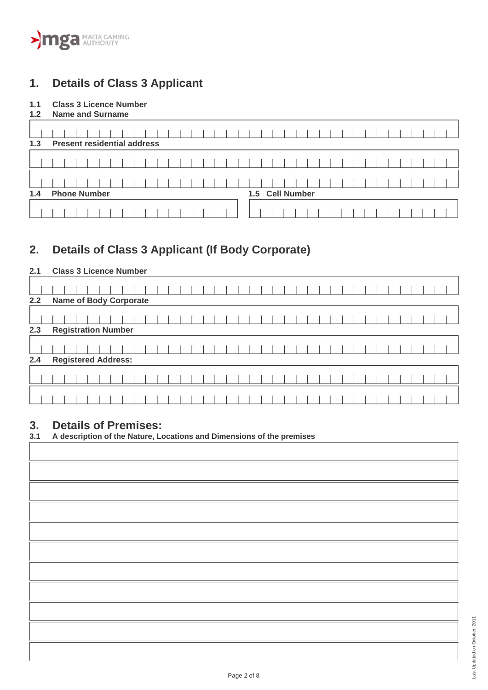# **1. Details of Class 3 Applicant**

## **1.1 Class 3 Licence Number**

| 1.2 | <b>Name and Surname</b>            |                    |
|-----|------------------------------------|--------------------|
| 1.3 | <b>Present residential address</b> |                    |
|     |                                    |                    |
|     |                                    |                    |
|     |                                    |                    |
| 1.4 | <b>Phone Number</b><br>1.5         | <b>Cell Number</b> |
|     |                                    |                    |

# **2. Details of Class 3 Applicant (If Body Corporate)**

## **2.1 Class 3 Licence Number**

| 2.2 | <b>Name of Body Corporate</b> |  |  |  |  |
|-----|-------------------------------|--|--|--|--|
|     |                               |  |  |  |  |
| 2.3 | <b>Registration Number</b>    |  |  |  |  |
|     |                               |  |  |  |  |
| 2.4 | <b>Registered Address:</b>    |  |  |  |  |
|     |                               |  |  |  |  |
|     |                               |  |  |  |  |
|     |                               |  |  |  |  |

# **3. Details of Premises:**

| 3.1 | A description of the Nature, Locations and Dimensions of the premises |  |  |  |
|-----|-----------------------------------------------------------------------|--|--|--|
|-----|-----------------------------------------------------------------------|--|--|--|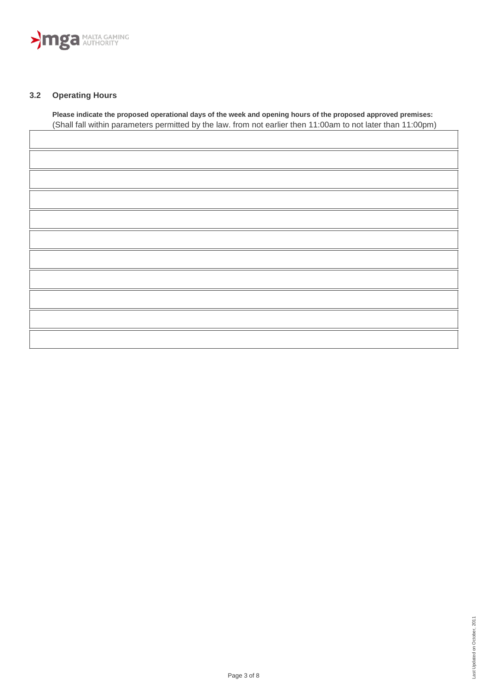

#### **3.2 Operating Hours**

**Please indicate the proposed operational days of the week and opening hours of the proposed approved premises:**  (Shall fall within parameters permitted by the law. from not earlier then 11:00am to not later than 11:00pm)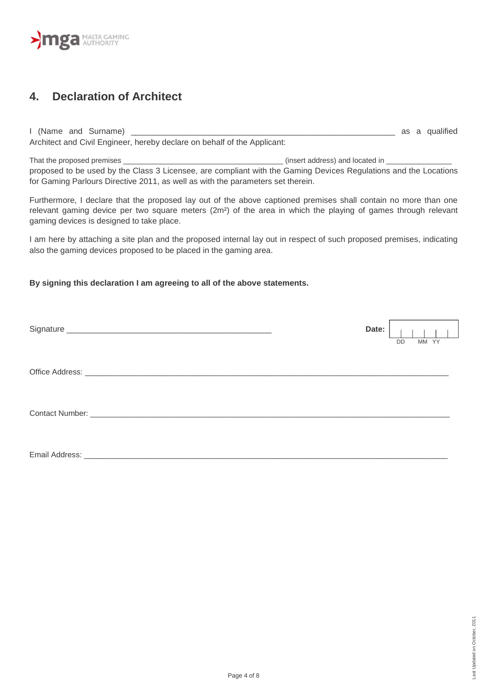

## **4. Declaration of Architect**

I (Name and Surname) \_\_\_\_\_\_\_\_\_\_\_\_\_\_\_\_\_\_\_\_\_\_\_\_\_\_\_\_\_\_\_\_\_\_\_\_\_\_\_\_\_\_\_\_\_\_\_\_\_\_\_\_\_\_\_\_\_\_ as a qualified Architect and Civil Engineer, hereby declare on behalf of the Applicant:

That the proposed premises \_\_\_\_\_\_\_\_\_\_\_\_\_\_\_\_\_\_\_\_\_\_\_\_\_\_\_\_\_\_\_\_\_\_\_\_\_\_\_ (insert address) and located in \_\_\_\_\_\_\_\_\_\_\_\_\_\_\_\_ proposed to be used by the Class 3 Licensee, are compliant with the Gaming Devices Regulations and the Locations for Gaming Parlours Directive 2011, as well as with the parameters set therein.

Furthermore, I declare that the proposed lay out of the above captioned premises shall contain no more than one relevant gaming device per two square meters (2m<sup>2</sup>) of the area in which the playing of games through relevant gaming devices is designed to take place.

I am here by attaching a site plan and the proposed internal lay out in respect of such proposed premises, indicating also the gaming devices proposed to be placed in the gaming area.

#### **By signing this declaration I am agreeing to all of the above statements.**

|                | Date: | MM YY<br>DD |
|----------------|-------|-------------|
|                |       |             |
|                |       |             |
| Email Address: |       |             |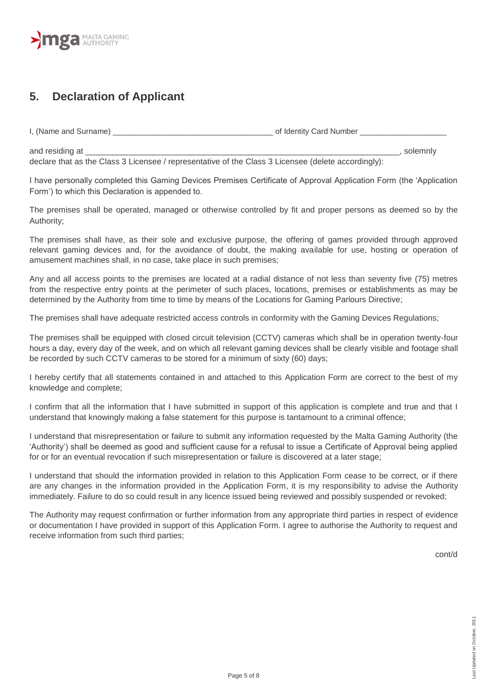# **MPA** MALTA GAMING

# **5. Declaration of Applicant**

I, (Name and Surname) **Example 20** and Surname and Surname and Surname and Surname and Surname and Surname and Surname and Surname and Surname and Surname and Surname and Surname and Surname and Surname and Surname and Sur

and residing at the set of the set of the set of the set of the set of the set of the set of the set of the set of the set of the set of the set of the set of the set of the set of the set of the set of the set of the set declare that as the Class 3 Licensee / representative of the Class 3 Licensee (delete accordingly):

I have personally completed this Gaming Devices Premises Certificate of Approval Application Form (the "Application Form") to which this Declaration is appended to.

The premises shall be operated, managed or otherwise controlled by fit and proper persons as deemed so by the Authority;

The premises shall have, as their sole and exclusive purpose, the offering of games provided through approved relevant gaming devices and, for the avoidance of doubt, the making available for use, hosting or operation of amusement machines shall, in no case, take place in such premises;

Any and all access points to the premises are located at a radial distance of not less than seventy five (75) metres from the respective entry points at the perimeter of such places, locations, premises or establishments as may be determined by the Authority from time to time by means of the Locations for Gaming Parlours Directive;

The premises shall have adequate restricted access controls in conformity with the Gaming Devices Regulations;

The premises shall be equipped with closed circuit television (CCTV) cameras which shall be in operation twenty-four hours a day, every day of the week, and on which all relevant gaming devices shall be clearly visible and footage shall be recorded by such CCTV cameras to be stored for a minimum of sixty (60) days;

I hereby certify that all statements contained in and attached to this Application Form are correct to the best of my knowledge and complete;

I confirm that all the information that I have submitted in support of this application is complete and true and that I understand that knowingly making a false statement for this purpose is tantamount to a criminal offence;

I understand that misrepresentation or failure to submit any information requested by the Malta Gaming Authority (the "Authority") shall be deemed as good and sufficient cause for a refusal to issue a Certificate of Approval being applied for or for an eventual revocation if such misrepresentation or failure is discovered at a later stage;

I understand that should the information provided in relation to this Application Form cease to be correct, or if there are any changes in the information provided in the Application Form, it is my responsibility to advise the Authority immediately. Failure to do so could result in any licence issued being reviewed and possibly suspended or revoked;

The Authority may request confirmation or further information from any appropriate third parties in respect of evidence or documentation I have provided in support of this Application Form. I agree to authorise the Authority to request and receive information from such third parties;

cont/d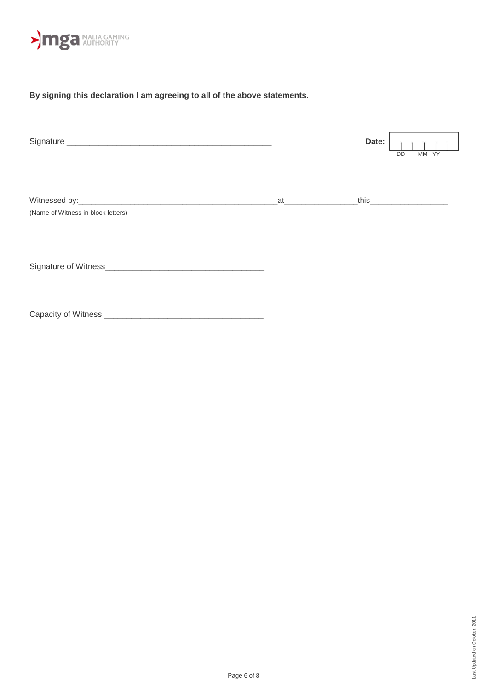

### **By signing this declaration I am agreeing to all of the above statements.**

|                                    |                  | Date: | MM YY<br>DD                        |
|------------------------------------|------------------|-------|------------------------------------|
| (Name of Witness in block letters) | _at_____________ |       | <u>this ______________________</u> |
| Signature of Witness               |                  |       |                                    |
|                                    |                  |       |                                    |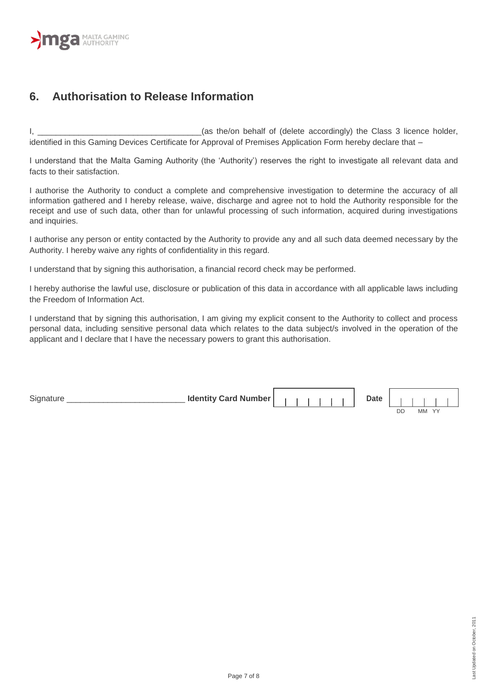

## **6. Authorisation to Release Information**

I, the contract the state of the last of (delete accordingly) the Class 3 licence holder, identified in this Gaming Devices Certificate for Approval of Premises Application Form hereby declare that –

I understand that the Malta Gaming Authority (the "Authority") reserves the right to investigate all relevant data and facts to their satisfaction.

I authorise the Authority to conduct a complete and comprehensive investigation to determine the accuracy of all information gathered and I hereby release, waive, discharge and agree not to hold the Authority responsible for the receipt and use of such data, other than for unlawful processing of such information, acquired during investigations and inquiries.

I authorise any person or entity contacted by the Authority to provide any and all such data deemed necessary by the Authority. I hereby waive any rights of confidentiality in this regard.

I understand that by signing this authorisation, a financial record check may be performed.

I hereby authorise the lawful use, disclosure or publication of this data in accordance with all applicable laws including the Freedom of Information Act.

I understand that by signing this authorisation, I am giving my explicit consent to the Authority to collect and process personal data, including sensitive personal data which relates to the data subject/s involved in the operation of the applicant and I declare that I have the necessary powers to grant this authorisation.